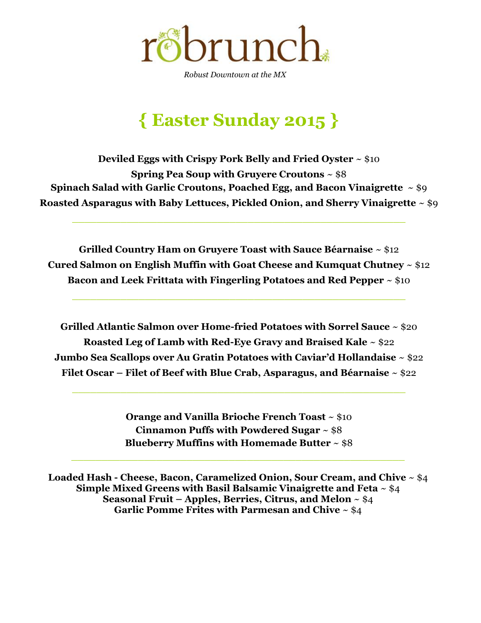

*Robust Downtown at the MX*

# **{ Easter Sunday 2015 }**

**Deviled Eggs with Crispy Pork Belly and Fried Oyster** ~ \$10 **Spring Pea Soup with Gruyere Croutons** ~ \$8 **Spinach Salad with Garlic Croutons, Poached Egg, and Bacon Vinaigrette** ~ \$9 **Roasted Asparagus with Baby Lettuces, Pickled Onion, and Sherry Vinaigrette** ~ \$9

\_\_\_\_\_\_\_\_\_\_\_\_\_\_\_\_\_\_\_\_\_\_\_\_\_\_\_\_\_\_\_\_\_\_\_\_\_\_\_\_\_\_\_\_\_\_\_\_\_\_\_\_\_\_\_

**Grilled Country Ham on Gruyere Toast with Sauce Béarnaise** ~ \$12 **Cured Salmon on English Muffin with Goat Cheese and Kumquat Chutney** ~ \$12 **Bacon and Leek Frittata with Fingerling Potatoes and Red Pepper** ~ \$10

 $\_$  , and the contribution of the contribution of  $\mathcal{L}_\mathcal{A}$  , and the contribution of  $\mathcal{L}_\mathcal{A}$  , and the contribution of  $\mathcal{L}_\mathcal{A}$ 

**Grilled Atlantic Salmon over Home-fried Potatoes with Sorrel Sauce** ~ \$20 **Roasted Leg of Lamb with Red-Eye Gravy and Braised Kale** ~ \$22 **Jumbo Sea Scallops over Au Gratin Potatoes with Caviar'd Hollandaise** ~ \$22 **Filet Oscar – Filet of Beef with Blue Crab, Asparagus, and Béarnaise** ~ \$22

 $\_$  , and the set of the set of the set of the set of the set of the set of the set of the set of the set of the set of the set of the set of the set of the set of the set of the set of the set of the set of the set of th

**Orange and Vanilla Brioche French Toast** ~ \$10 **Cinnamon Puffs with Powdered Sugar** ~ \$8 **Blueberry Muffins with Homemade Butter** ~ \$8

\_\_\_\_\_\_\_\_\_\_\_\_\_\_\_\_\_\_\_\_\_\_\_\_\_\_\_\_\_\_\_\_\_\_\_\_\_\_\_\_\_\_\_\_\_\_\_\_\_\_\_\_\_\_\_

**Loaded Hash - Cheese, Bacon, Caramelized Onion, Sour Cream, and Chive** ~ \$4 **Simple Mixed Greens with Basil Balsamic Vinaigrette and Feta** ~ \$4 **Seasonal Fruit – Apples, Berries, Citrus, and Melon** ~ \$4 **Garlic Pomme Frites with Parmesan and Chive** ~ \$4